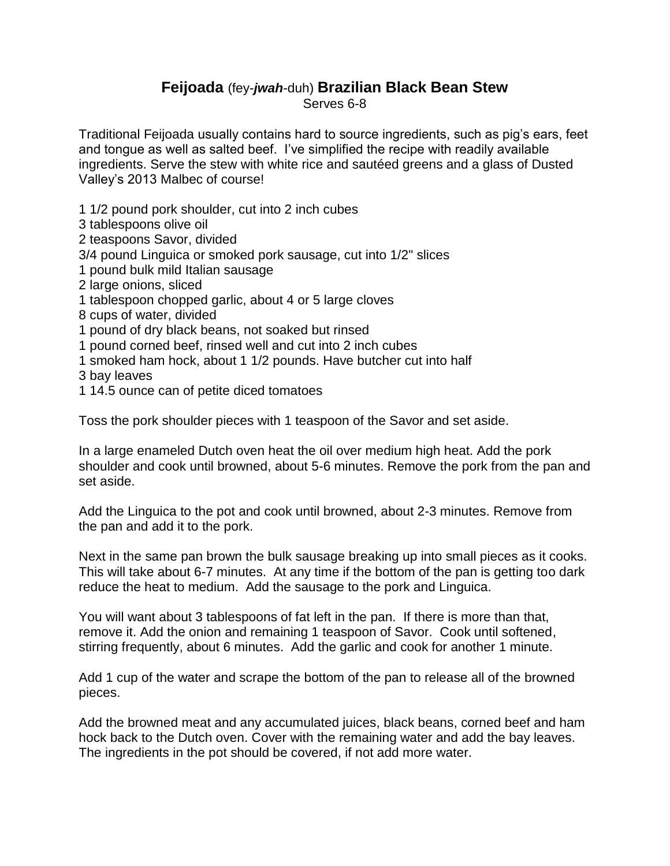## **Feijoada** (fey-*jwah*-duh) **Brazilian Black Bean Stew** Serves 6-8

Traditional Feijoada usually contains hard to source ingredients, such as pig's ears, feet and tongue as well as salted beef. I've simplified the recipe with readily available ingredients. Serve the stew with white rice and sautéed greens and a glass of Dusted Valley's 2013 Malbec of course!

- 1 1/2 pound pork shoulder, cut into 2 inch cubes
- 3 tablespoons olive oil
- 2 teaspoons Savor, divided
- 3/4 pound Linguica or smoked pork sausage, cut into 1/2" slices
- 1 pound bulk mild Italian sausage
- 2 large onions, sliced
- 1 tablespoon chopped garlic, about 4 or 5 large cloves
- 8 cups of water, divided
- 1 pound of dry black beans, not soaked but rinsed
- 1 pound corned beef, rinsed well and cut into 2 inch cubes
- 1 smoked ham hock, about 1 1/2 pounds. Have butcher cut into half
- 3 bay leaves
- 1 14.5 ounce can of petite diced tomatoes

Toss the pork shoulder pieces with 1 teaspoon of the Savor and set aside.

In a large enameled Dutch oven heat the oil over medium high heat. Add the pork shoulder and cook until browned, about 5-6 minutes. Remove the pork from the pan and set aside.

Add the Linguica to the pot and cook until browned, about 2-3 minutes. Remove from the pan and add it to the pork.

Next in the same pan brown the bulk sausage breaking up into small pieces as it cooks. This will take about 6-7 minutes. At any time if the bottom of the pan is getting too dark reduce the heat to medium. Add the sausage to the pork and Linguica.

You will want about 3 tablespoons of fat left in the pan. If there is more than that, remove it. Add the onion and remaining 1 teaspoon of Savor. Cook until softened, stirring frequently, about 6 minutes. Add the garlic and cook for another 1 minute.

Add 1 cup of the water and scrape the bottom of the pan to release all of the browned pieces.

Add the browned meat and any accumulated juices, black beans, corned beef and ham hock back to the Dutch oven. Cover with the remaining water and add the bay leaves. The ingredients in the pot should be covered, if not add more water.